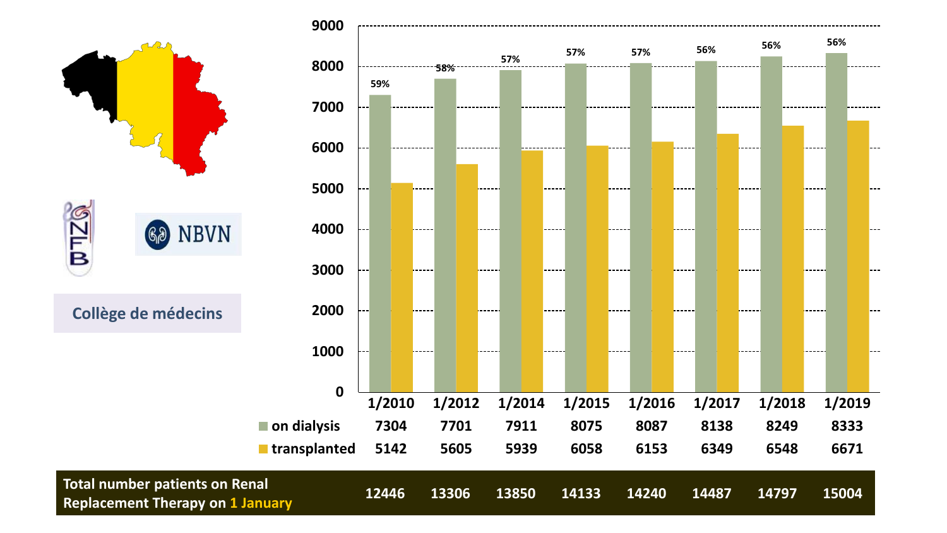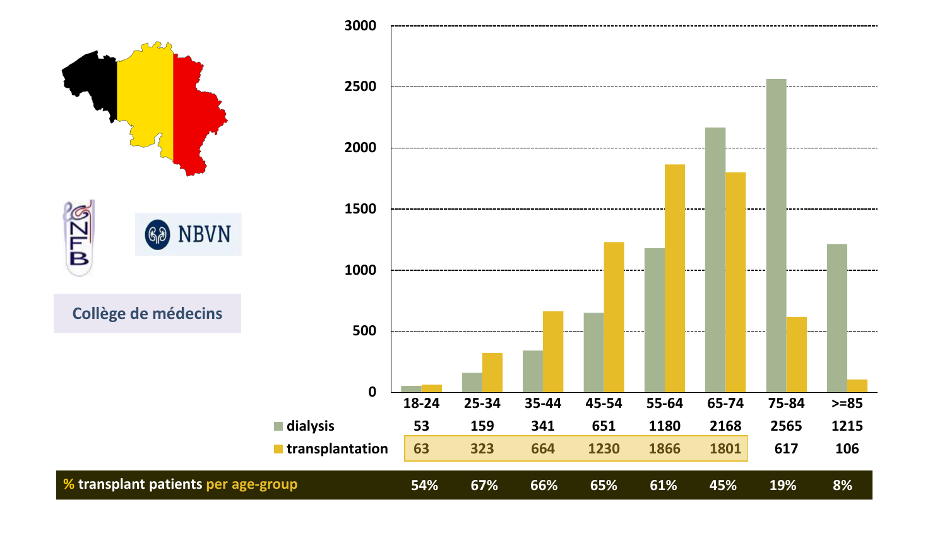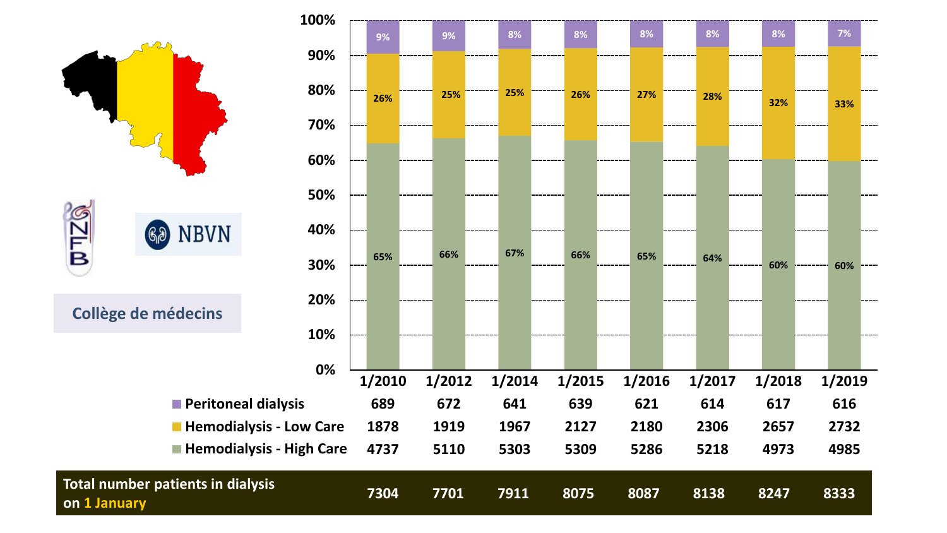

-----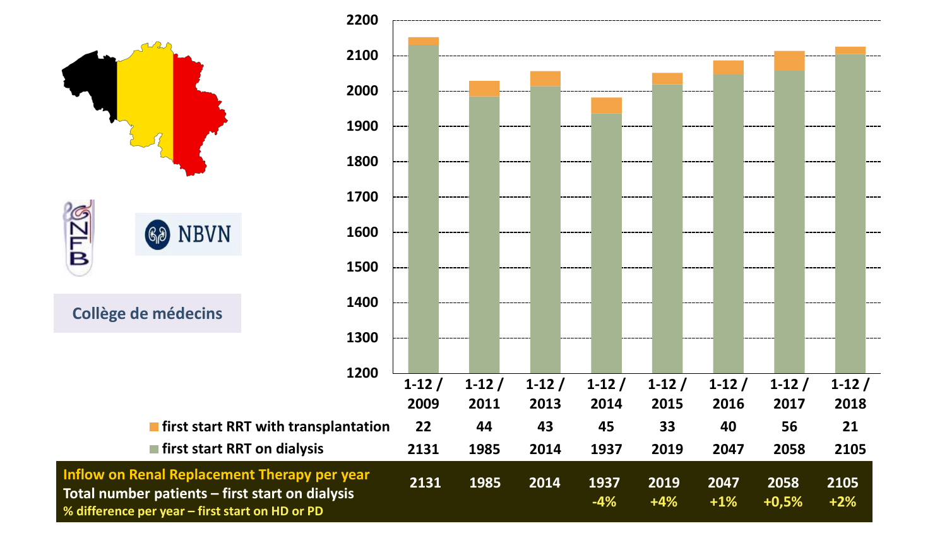

**Total number patients – first start on dialysis % difference per year – first start on HD or PD**

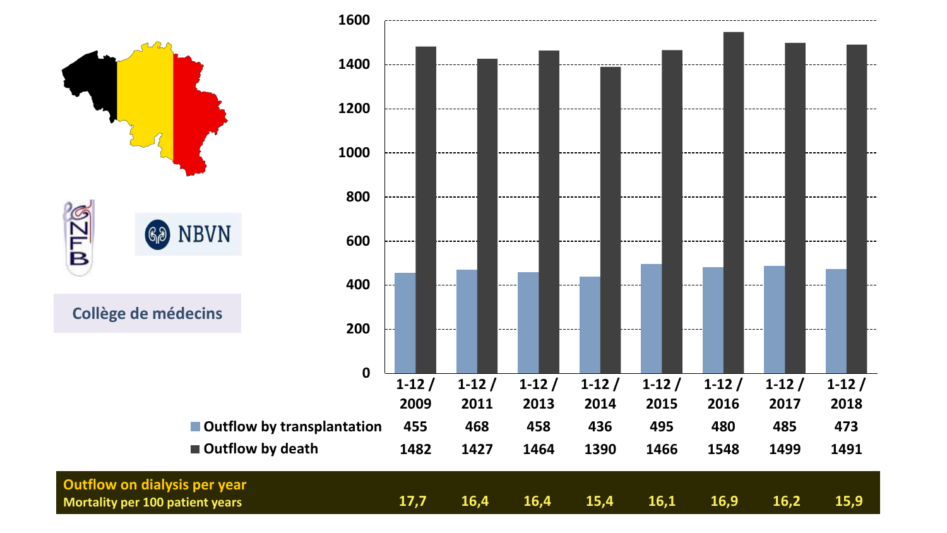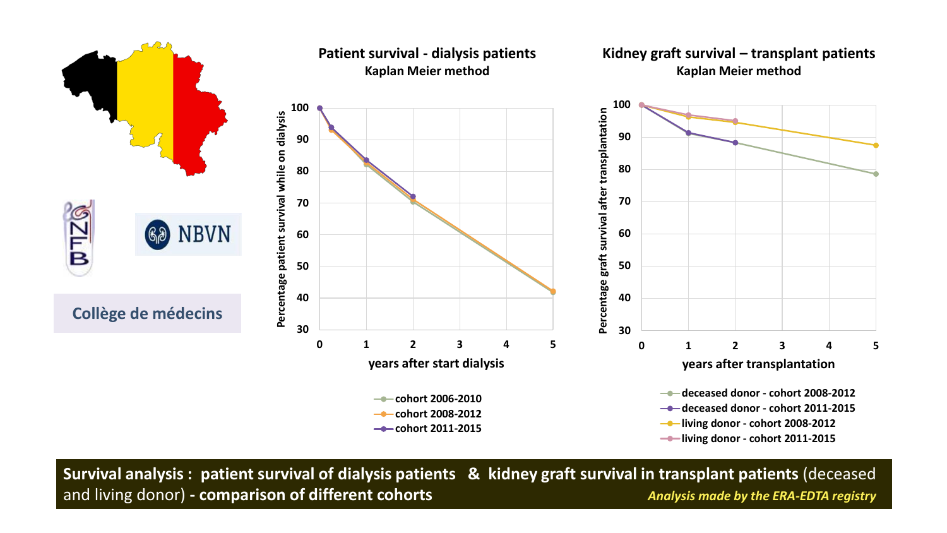







**Survival analysis : patient survival of dialysis patients & kidney graft survival in transplant patients** (deceased and living donor) **- comparison of different cohorts** *Analysis made by the ERA-EDTA registry*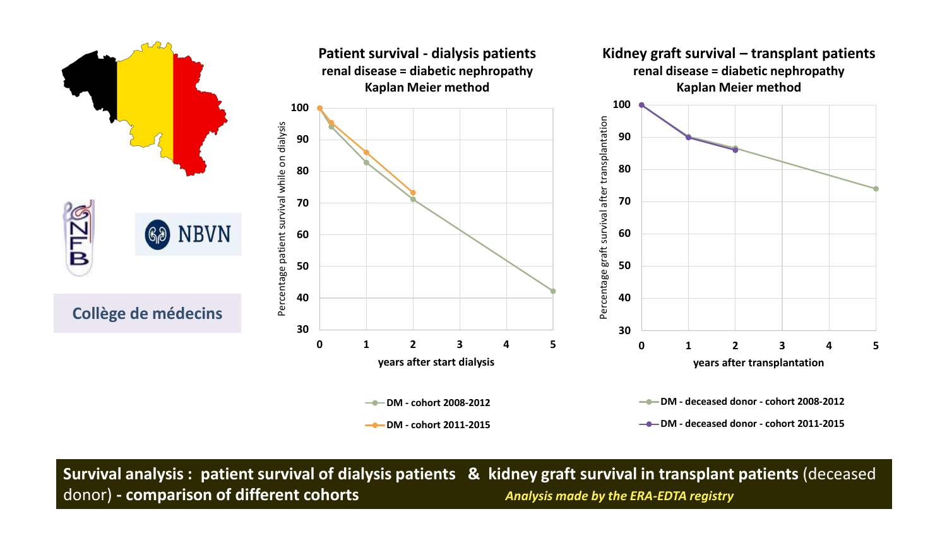

**Survival analysis : patient survival of dialysis patients & kidney graft survival in transplant patients** (deceased donor) **- comparison of different cohorts** *Analysis made by the ERA-EDTA registry*